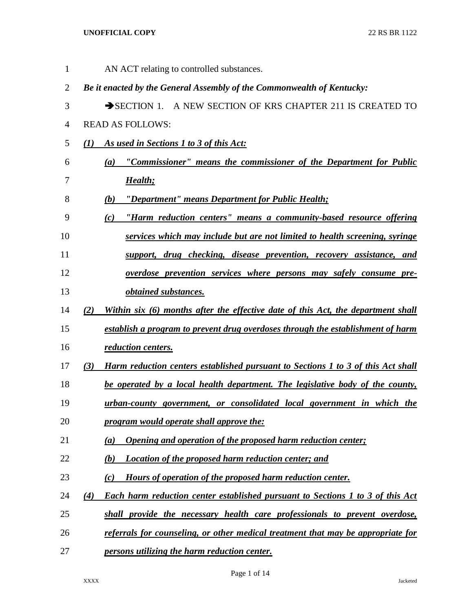| $\mathbf{1}$   | AN ACT relating to controlled substances.                                                      |
|----------------|------------------------------------------------------------------------------------------------|
| $\overline{2}$ | Be it enacted by the General Assembly of the Commonwealth of Kentucky:                         |
| 3              | SECTION 1. A NEW SECTION OF KRS CHAPTER 211 IS CREATED TO                                      |
| 4              | <b>READ AS FOLLOWS:</b>                                                                        |
| 5              | As used in Sections 1 to 3 of this Act:<br>(1)                                                 |
| 6              | "Commissioner" means the commissioner of the Department for Public<br>(a)                      |
| 7              | Health;                                                                                        |
| 8              | "Department" means Department for Public Health;<br>(b)                                        |
| 9              | "Harm reduction centers" means a community-based resource offering<br>(c)                      |
| 10             | services which may include but are not limited to health screening, syringe                    |
| 11             | support, drug checking, disease prevention, recovery assistance, and                           |
| 12             | overdose prevention services where persons may safely consume pre-                             |
| 13             | <i>obtained substances.</i>                                                                    |
| 14             | (2)<br>Within six (6) months after the effective date of this Act, the department shall        |
| 15             | establish a program to prevent drug overdoses through the establishment of harm                |
| 16             | reduction centers.                                                                             |
| 17             | <b>Harm reduction centers established pursuant to Sections 1 to 3 of this Act shall</b><br>(3) |
| 18             | be operated by a local health department. The legislative body of the county,                  |
| 19             | urban-county government, or consolidated local government in which the                         |
| 20             | program would operate shall approve the:                                                       |
| 21             | Opening and operation of the proposed harm reduction center;<br>(a)                            |
| 22             | Location of the proposed harm reduction center; and<br>(b)                                     |
| 23             | Hours of operation of the proposed harm reduction center.<br>(c)                               |
| 24             | Each harm reduction center established pursuant to Sections 1 to 3 of this Act<br>(4)          |
| 25             | shall provide the necessary health care professionals to prevent overdose,                     |
| 26             | referrals for counseling, or other medical treatment that may be appropriate for               |
| 27             | persons utilizing the harm reduction center.                                                   |

Page 1 of 14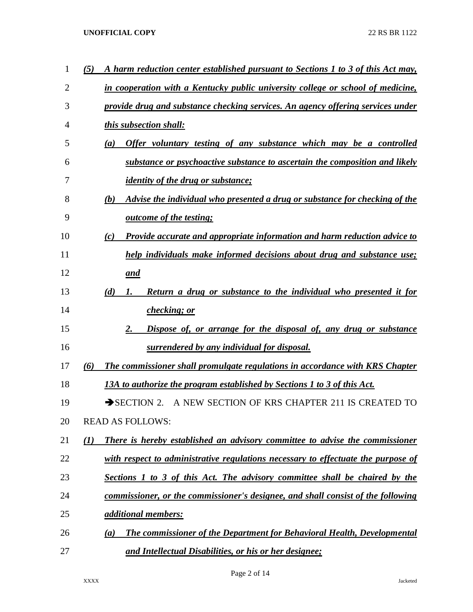| 1              | (5)<br>A harm reduction center established pursuant to Sections 1 to 3 of this Act may,          |
|----------------|--------------------------------------------------------------------------------------------------|
| $\overline{2}$ | in cooperation with a Kentucky public university college or school of medicine,                  |
| 3              | provide drug and substance checking services. An agency offering services under                  |
| 4              | this subsection shall:                                                                           |
| 5              | Offer voluntary testing of any substance which may be a controlled<br>(a)                        |
| 6              | substance or psychoactive substance to ascertain the composition and likely                      |
| 7              | <i>identity of the drug or substance;</i>                                                        |
| 8              | Advise the individual who presented a drug or substance for checking of the<br>(b)               |
| 9              | <i>outcome of the testing;</i>                                                                   |
| 10             | Provide accurate and appropriate information and harm reduction advice to<br>(c)                 |
| 11             | help individuals make informed decisions about drug and substance use;                           |
| 12             | and                                                                                              |
| 13             | (d)<br><b>Return a drug or substance to the individual who presented it for</b><br>1.            |
| 14             | checking; or                                                                                     |
| 15             | Dispose of, or arrange for the disposal of, any drug or substance<br>2.                          |
| 16             | surrendered by any individual for disposal.                                                      |
| 17             | (6)<br>The commissioner shall promulgate regulations in accordance with KRS Chapter              |
| 18             | 13A to authorize the program established by Sections 1 to 3 of this Act.                         |
| 19             | A NEW SECTION OF KRS CHAPTER 211 IS CREATED TO<br>$\rightarrow$ SECTION 2.                       |
| 20             | <b>READ AS FOLLOWS:</b>                                                                          |
| 21             | There is hereby established an advisory committee to advise the commissioner<br>$\mathcal{L}(I)$ |
| 22             | with respect to administrative regulations necessary to effectuate the purpose of                |
| 23             | <b>Sections 1 to 3 of this Act. The advisory committee shall be chaired by the</b>               |
| 24             | commissioner, or the commissioner's designee, and shall consist of the following                 |
| 25             | <i><u>additional members:</u></i>                                                                |
| 26             | The commissioner of the Department for Behavioral Health, Developmental<br>(a)                   |
| 27             | and Intellectual Disabilities, or his or her designee;                                           |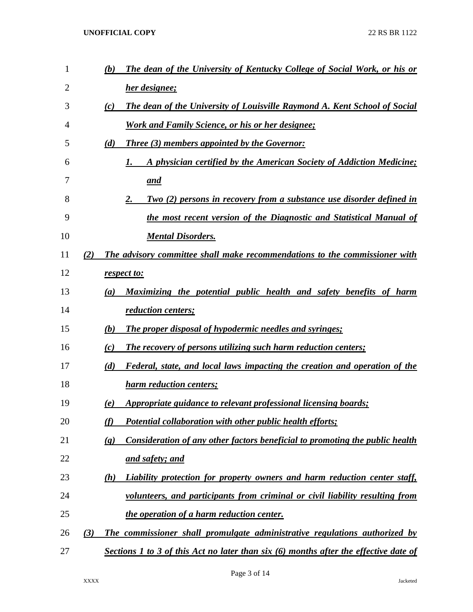| 1  |     | (b)                         | The dean of the University of Kentucky College of Social Work, or his or                 |
|----|-----|-----------------------------|------------------------------------------------------------------------------------------|
| 2  |     |                             | her designee;                                                                            |
| 3  |     | (c)                         | The dean of the University of Louisville Raymond A. Kent School of Social                |
| 4  |     |                             | <b>Work and Family Science, or his or her designee;</b>                                  |
| 5  |     | (d)                         | <b>Three (3) members appointed by the Governor:</b>                                      |
| 6  |     |                             | A physician certified by the American Society of Addiction Medicine;<br>1.               |
| 7  |     |                             | <u>and</u>                                                                               |
| 8  |     |                             | <b>Two (2) persons in recovery from a substance use disorder defined in</b><br><u>2.</u> |
| 9  |     |                             | the most recent version of the Diagnostic and Statistical Manual of                      |
| 10 |     |                             | <b>Mental Disorders.</b>                                                                 |
| 11 | (2) |                             | The advisory committee shall make recommendations to the commissioner with               |
| 12 |     |                             | respect to:                                                                              |
| 13 |     | (a)                         | Maximizing the potential public health and safety benefits of harm                       |
| 14 |     |                             | <i>reduction centers;</i>                                                                |
| 15 |     | (b)                         | <b>The proper disposal of hypodermic needles and syringes;</b>                           |
| 16 |     | (c)                         | The recovery of persons utilizing such harm reduction centers;                           |
| 17 |     | (d)                         | Federal, state, and local laws impacting the creation and operation of the               |
| 18 |     |                             | <b>harm reduction centers;</b>                                                           |
| 19 |     | (e)                         | Appropriate guidance to relevant professional licensing boards;                          |
| 20 |     | (f)                         | Potential collaboration with other public health efforts;                                |
| 21 |     | $\left( \mathbf{g} \right)$ | Consideration of any other factors beneficial to promoting the public health             |
| 22 |     |                             | and safety; and                                                                          |
| 23 |     | (h)                         | Liability protection for property owners and harm reduction center staff,                |
| 24 |     |                             | volunteers, and participants from criminal or civil liability resulting from             |
| 25 |     |                             | the operation of a harm reduction center.                                                |
| 26 | (3) |                             | The commissioner shall promulgate administrative regulations authorized by               |
| 27 |     |                             | Sections 1 to 3 of this Act no later than six (6) months after the effective date of     |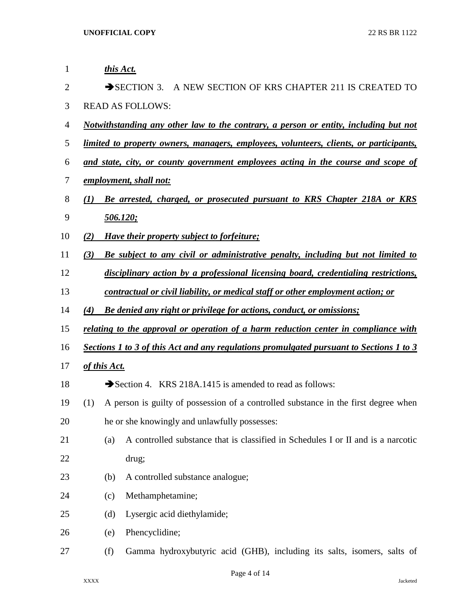| 1              |                                                                            | this Act.               |                                                                                               |  |  |  |
|----------------|----------------------------------------------------------------------------|-------------------------|-----------------------------------------------------------------------------------------------|--|--|--|
| $\overline{2}$ | $\rightarrow$ SECTION 3.<br>A NEW SECTION OF KRS CHAPTER 211 IS CREATED TO |                         |                                                                                               |  |  |  |
| 3              |                                                                            | <b>READ AS FOLLOWS:</b> |                                                                                               |  |  |  |
| $\overline{4}$ |                                                                            |                         | <u>Notwithstanding any other law to the contrary, a person or entity, including but not</u>   |  |  |  |
| 5              |                                                                            |                         | <u>limited to property owners, managers, employees, volunteers, clients, or participants,</u> |  |  |  |
| 6              |                                                                            |                         | and state, city, or county government employees acting in the course and scope of             |  |  |  |
| 7              |                                                                            |                         | employment, shall not:                                                                        |  |  |  |
| 8              | (1)                                                                        |                         | Be arrested, charged, or prosecuted pursuant to KRS Chapter 218A or KRS                       |  |  |  |
| 9              |                                                                            |                         | <u>506.120;</u>                                                                               |  |  |  |
| 10             | (2)                                                                        |                         | Have their property subject to forfeiture;                                                    |  |  |  |
| 11             | (3)                                                                        |                         | Be subject to any civil or administrative penalty, including but not limited to               |  |  |  |
| 12             |                                                                            |                         | disciplinary action by a professional licensing board, credentialing restrictions,            |  |  |  |
| 13             |                                                                            |                         | contractual or civil liability, or medical staff or other employment action; or               |  |  |  |
| 14             | (4)                                                                        |                         | Be denied any right or privilege for actions, conduct, or omissions;                          |  |  |  |
| 15             |                                                                            |                         | <u>relating to the approval or operation of a harm reduction center in compliance with</u>    |  |  |  |
| 16             |                                                                            |                         | Sections 1 to 3 of this Act and any regulations promulgated pursuant to Sections 1 to 3       |  |  |  |
| 17             |                                                                            | of this Act.            |                                                                                               |  |  |  |
| 18             |                                                                            |                         | Section 4. KRS 218A.1415 is amended to read as follows:                                       |  |  |  |
| 19             | (1)                                                                        |                         | A person is guilty of possession of a controlled substance in the first degree when           |  |  |  |
| 20             |                                                                            |                         | he or she knowingly and unlawfully possesses:                                                 |  |  |  |
| 21             |                                                                            | (a)                     | A controlled substance that is classified in Schedules I or II and is a narcotic              |  |  |  |
| 22             |                                                                            |                         | drug;                                                                                         |  |  |  |
| 23             |                                                                            | (b)                     | A controlled substance analogue;                                                              |  |  |  |
| 24             |                                                                            | (c)                     | Methamphetamine;                                                                              |  |  |  |
| 25             |                                                                            | (d)                     | Lysergic acid diethylamide;                                                                   |  |  |  |
| 26             |                                                                            | (e)                     | Phencyclidine;                                                                                |  |  |  |
| 27             |                                                                            | (f)                     | Gamma hydroxybutyric acid (GHB), including its salts, isomers, salts of                       |  |  |  |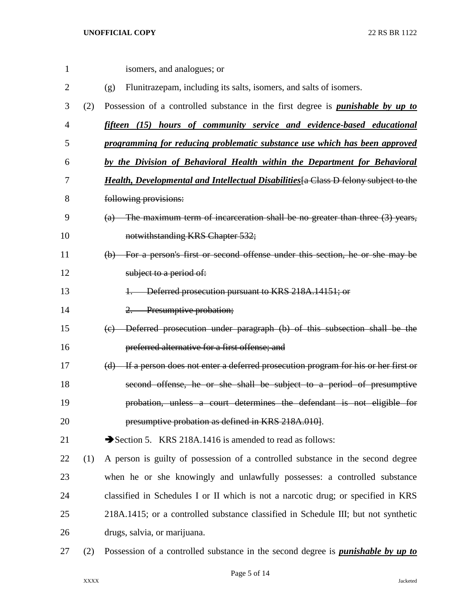| 1              |     | isomers, and analogues; or                                                                    |
|----------------|-----|-----------------------------------------------------------------------------------------------|
| $\overline{2}$ |     | Flunitrazepam, including its salts, isomers, and salts of isomers.<br>(g)                     |
| 3              | (2) | Possession of a controlled substance in the first degree is <i>punishable by up to</i>        |
| $\overline{4}$ |     | fifteen (15) hours of community service and evidence-based educational                        |
| 5              |     | programming for reducing problematic substance use which has been approved                    |
| 6              |     | by the Division of Behavioral Health within the Department for Behavioral                     |
| 7              |     | <b>Health, Developmental and Intellectual Disabilities</b> [a Class D felony subject to the   |
| 8              |     | following provisions:                                                                         |
| 9              |     | $(a)$ The maximum term of incarceration shall be no greater than three $(3)$ years,           |
| 10             |     | notwithstanding KRS Chapter 532;                                                              |
| 11             |     | (b) For a person's first or second offense under this section, he or she may be               |
| 12             |     | subject to a period of:                                                                       |
| 13             |     | Deferred prosecution pursuant to KRS 218A.14151; or                                           |
| 14             |     | Presumptive probation;<br>$2-$                                                                |
| 15             |     | Deferred prosecution under paragraph (b) of this subsection shall be the<br>$\left( e\right)$ |
| 16             |     | preferred alternative for a first offense; and                                                |
| 17             |     | (d) If a person does not enter a deferred prosecution program for his or her first or         |
| 18             |     | second offense, he or she shall be subject to a period of presumptive                         |
| 19             |     | probation, unless a court determines the defendant is not eligible for                        |
| 20             |     | presumptive probation as defined in KRS 218A.010].                                            |
| 21             |     | Section 5. KRS 218A.1416 is amended to read as follows:                                       |
| 22             | (1) | A person is guilty of possession of a controlled substance in the second degree               |
| 23             |     | when he or she knowingly and unlawfully possesses: a controlled substance                     |
| 24             |     | classified in Schedules I or II which is not a narcotic drug; or specified in KRS             |
| 25             |     | 218A.1415; or a controlled substance classified in Schedule III; but not synthetic            |
| 26             |     | drugs, salvia, or marijuana.                                                                  |
| 27             | (2) | Possession of a controlled substance in the second degree is <i>punishable by up to</i>       |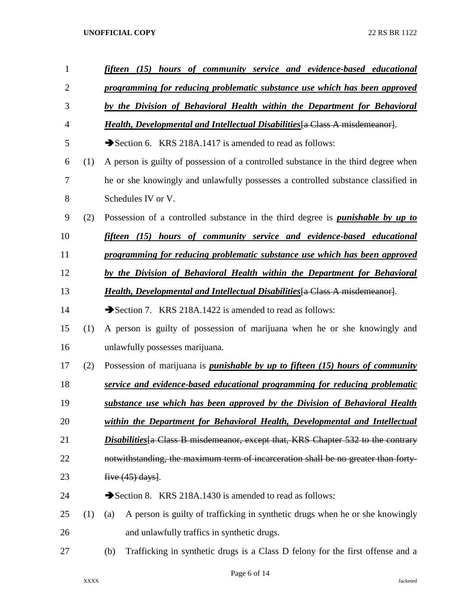| $\mathbf{1}$   |     | hours of community service and evidence-based educational<br>fifteen<br>(15)           |
|----------------|-----|----------------------------------------------------------------------------------------|
| $\overline{2}$ |     | programming for reducing problematic substance use which has been approved             |
| 3              |     | by the Division of Behavioral Health within the Department for Behavioral              |
| 4              |     | <b>Health, Developmental and Intellectual Disabilities</b> [a Class A misdemeanor].    |
| 5              |     | Section 6. KRS 218A.1417 is amended to read as follows:                                |
| 6              | (1) | A person is guilty of possession of a controlled substance in the third degree when    |
| 7              |     | he or she knowingly and unlawfully possesses a controlled substance classified in      |
| 8              |     | Schedules IV or V.                                                                     |
| 9              | (2) | Possession of a controlled substance in the third degree is <i>punishable by up to</i> |
| 10             |     | fifteen (15) hours of community service and evidence-based educational                 |
| 11             |     | programming for reducing problematic substance use which has been approved             |
| 12             |     | by the Division of Behavioral Health within the Department for Behavioral              |
| 13             |     | <i>Health, Developmental and Intellectual Disabilities</i> [a Class A misdemeanor].    |
| 14             |     | Section 7. KRS 218A.1422 is amended to read as follows:                                |
| 15             | (1) | A person is guilty of possession of marijuana when he or she knowingly and             |
| 16             |     | unlawfully possesses marijuana.                                                        |
| 17             | (2) | Possession of marijuana is <i>punishable by up to fifteen (15) hours of community</i>  |
| 18             |     | service and evidence-based educational programming for reducing problematic            |
| 19             |     | substance use which has been approved by the Division of Behavioral Health             |
| 20             |     | within the Department for Behavioral Health, Developmental and Intellectual            |
| 21             |     | Disabilities [a Class B misdemeanor, except that, KRS Chapter 532 to the contrary      |
| 22             |     | notwithstanding, the maximum term of incarceration shall be no greater than forty-     |
| 23             |     | five $(45)$ days.                                                                      |
| 24             |     | Section 8. KRS 218A.1430 is amended to read as follows:                                |
| 25             | (1) | A person is guilty of trafficking in synthetic drugs when he or she knowingly<br>(a)   |
| 26             |     | and unlawfully traffics in synthetic drugs.                                            |
| 27             |     | Trafficking in synthetic drugs is a Class D felony for the first offense and a<br>(b)  |
|                |     |                                                                                        |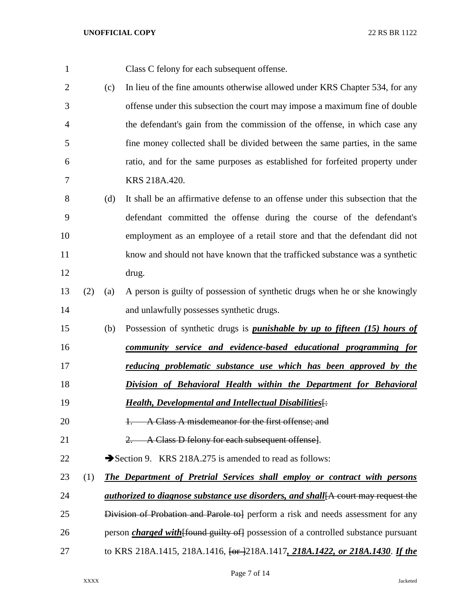| 1              |     |     | Class C felony for each subsequent offense.                                                |
|----------------|-----|-----|--------------------------------------------------------------------------------------------|
| $\overline{2}$ |     | (c) | In lieu of the fine amounts otherwise allowed under KRS Chapter 534, for any               |
| 3              |     |     | offense under this subsection the court may impose a maximum fine of double                |
| 4              |     |     | the defendant's gain from the commission of the offense, in which case any                 |
| 5              |     |     | fine money collected shall be divided between the same parties, in the same                |
| 6              |     |     | ratio, and for the same purposes as established for forfeited property under               |
| 7              |     |     | KRS 218A.420.                                                                              |
| 8              |     | (d) | It shall be an affirmative defense to an offense under this subsection that the            |
| 9              |     |     | defendant committed the offense during the course of the defendant's                       |
| 10             |     |     | employment as an employee of a retail store and that the defendant did not                 |
| 11             |     |     | know and should not have known that the trafficked substance was a synthetic               |
| 12             |     |     | drug.                                                                                      |
| 13             | (2) | (a) | A person is guilty of possession of synthetic drugs when he or she knowingly               |
| 14             |     |     | and unlawfully possesses synthetic drugs.                                                  |
| 15             |     | (b) | Possession of synthetic drugs is <i>punishable by up to fifteen (15) hours of</i>          |
| 16             |     |     | community service and evidence-based educational programming for                           |
| 17             |     |     | reducing problematic substance use which has been approved by the                          |
| 18             |     |     | Division of Behavioral Health within the Department for Behavioral                         |
| 19             |     |     | <b>Health, Developmental and Intellectual Disabilities</b> <sup>[:</sup>                   |
| 20             |     |     | A Class A misdemeanor for the first offense; and                                           |
| 21             |     |     | A Class D felony for each subsequent offense].                                             |
| 22             |     |     | Section 9. KRS 218A.275 is amended to read as follows:                                     |
| 23             | (1) |     | <b>The Department of Pretrial Services shall employ or contract with persons</b>           |
| 24             |     |     | <i>authorized to diagnose substance use disorders, and shall</i> [A court may request the  |
| 25             |     |     | Division of Probation and Parole to perform a risk and needs assessment for any            |
| 26             |     |     | person <i>charged with</i> [found guilty of] possession of a controlled substance pursuant |
| 27             |     |     | to KRS 218A.1415, 218A.1416, $\frac{6r}{2}$ 18A.1417, 218A.1422, or 218A.1430. If the      |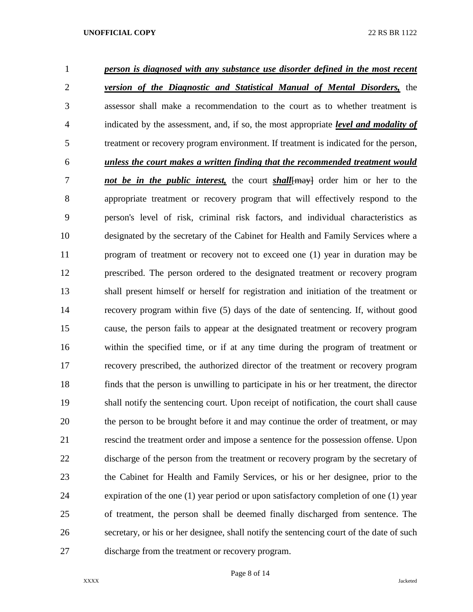| $\mathbf{1}$   | person is diagnosed with any substance use disorder defined in the most recent              |
|----------------|---------------------------------------------------------------------------------------------|
| $\overline{2}$ | <b>version of the Diagnostic and Statistical Manual of Mental Disorders,</b> the            |
| 3              | assessor shall make a recommendation to the court as to whether treatment is                |
| 4              | indicated by the assessment, and, if so, the most appropriate <i>level and modality of</i>  |
| 5              | treatment or recovery program environment. If treatment is indicated for the person,        |
| 6              | unless the court makes a written finding that the recommended treatment would               |
| 7              | not be in the <i>public interest</i> , the court <i>shall</i> [may] order him or her to the |
| 8              | appropriate treatment or recovery program that will effectively respond to the              |
| 9              | person's level of risk, criminal risk factors, and individual characteristics as            |
| 10             | designated by the secretary of the Cabinet for Health and Family Services where a           |
| 11             | program of treatment or recovery not to exceed one (1) year in duration may be              |
| 12             | prescribed. The person ordered to the designated treatment or recovery program              |
| 13             | shall present himself or herself for registration and initiation of the treatment or        |
| 14             | recovery program within five (5) days of the date of sentencing. If, without good           |
| 15             | cause, the person fails to appear at the designated treatment or recovery program           |
| 16             | within the specified time, or if at any time during the program of treatment or             |
| 17             | recovery prescribed, the authorized director of the treatment or recovery program           |
| 18             | finds that the person is unwilling to participate in his or her treatment, the director     |
| 19             | shall notify the sentencing court. Upon receipt of notification, the court shall cause      |
| 20             | the person to be brought before it and may continue the order of treatment, or may          |
| 21             | rescind the treatment order and impose a sentence for the possession offense. Upon          |
| 22             | discharge of the person from the treatment or recovery program by the secretary of          |
| 23             | the Cabinet for Health and Family Services, or his or her designee, prior to the            |
| 24             | expiration of the one (1) year period or upon satisfactory completion of one (1) year       |
| 25             | of treatment, the person shall be deemed finally discharged from sentence. The              |
| 26             | secretary, or his or her designee, shall notify the sentencing court of the date of such    |
| 27             | discharge from the treatment or recovery program.                                           |

Page 8 of 14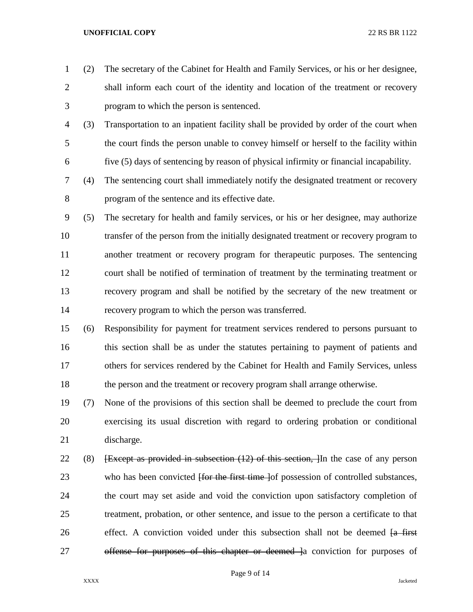(2) The secretary of the Cabinet for Health and Family Services, or his or her designee, shall inform each court of the identity and location of the treatment or recovery program to which the person is sentenced.

- (3) Transportation to an inpatient facility shall be provided by order of the court when the court finds the person unable to convey himself or herself to the facility within five (5) days of sentencing by reason of physical infirmity or financial incapability.
- (4) The sentencing court shall immediately notify the designated treatment or recovery program of the sentence and its effective date.
- (5) The secretary for health and family services, or his or her designee, may authorize transfer of the person from the initially designated treatment or recovery program to another treatment or recovery program for therapeutic purposes. The sentencing court shall be notified of termination of treatment by the terminating treatment or recovery program and shall be notified by the secretary of the new treatment or recovery program to which the person was transferred.
- (6) Responsibility for payment for treatment services rendered to persons pursuant to this section shall be as under the statutes pertaining to payment of patients and others for services rendered by the Cabinet for Health and Family Services, unless the person and the treatment or recovery program shall arrange otherwise.
- (7) None of the provisions of this section shall be deemed to preclude the court from exercising its usual discretion with regard to ordering probation or conditional discharge.
- 22 (8) **Except as provided in subsection (12) of this section, I** In the case of any person 23 who has been convicted <del>[for the first time ]</del> of possession of controlled substances, the court may set aside and void the conviction upon satisfactory completion of treatment, probation, or other sentence, and issue to the person a certificate to that 26 effect. A conviction voided under this subsection shall not be deemed <del>[a first</del> 27 offense for purposes of this chapter or deemed a conviction for purposes of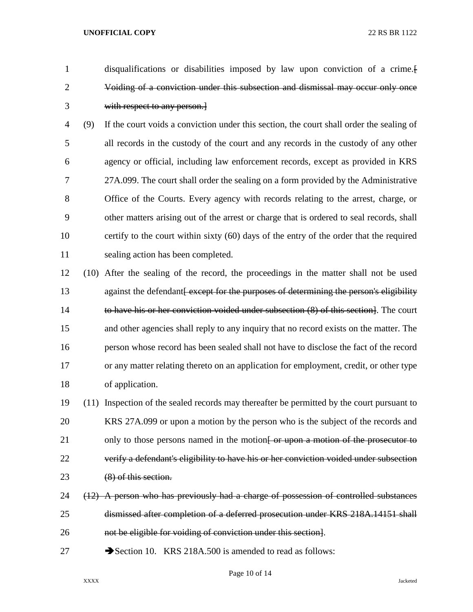disqualifications or disabilities imposed by law upon conviction of a crime.[ Voiding of a conviction under this subsection and dismissal may occur only once with respect to any person.]

 (9) If the court voids a conviction under this section, the court shall order the sealing of all records in the custody of the court and any records in the custody of any other agency or official, including law enforcement records, except as provided in KRS 27A.099. The court shall order the sealing on a form provided by the Administrative Office of the Courts. Every agency with records relating to the arrest, charge, or other matters arising out of the arrest or charge that is ordered to seal records, shall certify to the court within sixty (60) days of the entry of the order that the required sealing action has been completed.

 (10) After the sealing of the record, the proceedings in the matter shall not be used 13 against the defendant except for the purposes of determining the person's eligibility to have his or her conviction voided under subsection (8) of this section]. The court and other agencies shall reply to any inquiry that no record exists on the matter. The person whose record has been sealed shall not have to disclose the fact of the record or any matter relating thereto on an application for employment, credit, or other type of application.

 (11) Inspection of the sealed records may thereafter be permitted by the court pursuant to KRS 27A.099 or upon a motion by the person who is the subject of the records and 21 only to those persons named in the motion of the prosecutor to the prosecutor to verify a defendant's eligibility to have his or her conviction voided under subsection (8) of this section.

24 (12) A person who has previously had a charge of possession of controlled substances dismissed after completion of a deferred prosecution under KRS 218A.14151 shall not be eligible for voiding of conviction under this section].

27 Section 10. KRS 218A.500 is amended to read as follows:

Page 10 of 14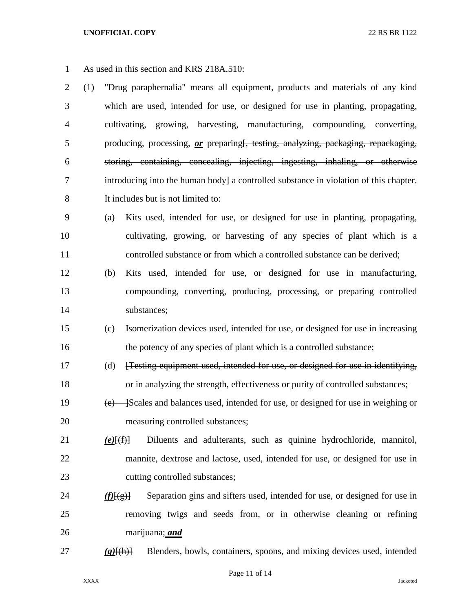As used in this section and KRS 218A.510:

 (1) "Drug paraphernalia" means all equipment, products and materials of any kind which are used, intended for use, or designed for use in planting, propagating, cultivating, growing, harvesting, manufacturing, compounding, converting, producing, processing, *or* preparing[, testing, analyzing, packaging, repackaging, storing, containing, concealing, injecting, ingesting, inhaling, or otherwise 7 introducing into the human body a controlled substance in violation of this chapter. It includes but is not limited to:

- (a) Kits used, intended for use, or designed for use in planting, propagating, cultivating, growing, or harvesting of any species of plant which is a controlled substance or from which a controlled substance can be derived;
- (b) Kits used, intended for use, or designed for use in manufacturing, compounding, converting, producing, processing, or preparing controlled substances;
- (c) Isomerization devices used, intended for use, or designed for use in increasing 16 the potency of any species of plant which is a controlled substance;
- (d) [Testing equipment used, intended for use, or designed for use in identifying, or in analyzing the strength, effectiveness or purity of controlled substances;
- 19 (e) Scales and balances used, intended for use, or designed for use in weighing or measuring controlled substances;

# *(e)*[(f)] Diluents and adulterants, such as quinine hydrochloride, mannitol, mannite, dextrose and lactose, used, intended for use, or designed for use in cutting controlled substances;

- 24 *(f)* $[(g)]$  Separation gins and sifters used, intended for use, or designed for use in removing twigs and seeds from, or in otherwise cleaning or refining marijuana; *and*
- 

*(g)*[(h)] Blenders, bowls, containers, spoons, and mixing devices used, intended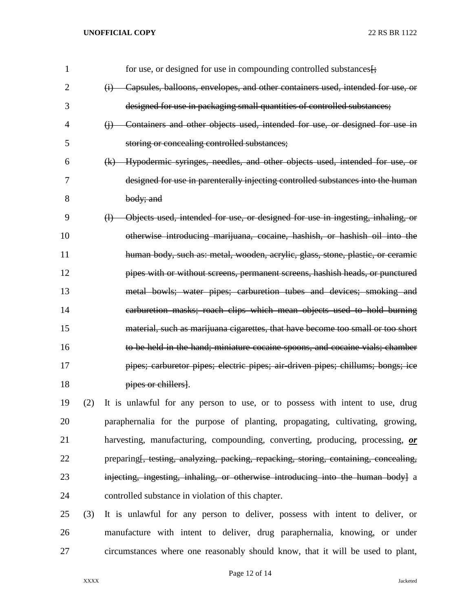| $\mathbf{1}$ |     | for use, or designed for use in compounding controlled substances [:                              |
|--------------|-----|---------------------------------------------------------------------------------------------------|
| 2            |     | Capsules, balloons, envelopes, and other containers used, intended for use, or<br>$\ddot{\theta}$ |
| 3            |     | designed for use in packaging small quantities of controlled substances;                          |
| 4            |     | (j) Containers and other objects used, intended for use, or designed for use in                   |
| 5            |     | storing or concealing controlled substances;                                                      |
| 6            |     | (k) Hypodermic syringes, needles, and other objects used, intended for use, or                    |
| 7            |     | designed for use in parenterally injecting controlled substances into the human                   |
| 8            |     | body; and                                                                                         |
| 9            |     | (1) Objects used, intended for use, or designed for use in ingesting, inhaling, or                |
| 10           |     | otherwise introducing marijuana, cocaine, hashish, or hashish oil into the                        |
| 11           |     | human body, such as: metal, wooden, acrylic, glass, stone, plastic, or ceramic                    |
| 12           |     | pipes with or without screens, permanent screens, hashish heads, or punctured                     |
| 13           |     | metal bowls; water pipes; carburetion tubes and devices; smoking and                              |
| 14           |     | earburetion masks; roach clips which mean objects used to hold burning                            |
| 15           |     | material, such as marijuana cigarettes, that have become too small or too short                   |
| 16           |     | to be held in the hand; miniature cocaine spoons, and cocaine vials; chamber                      |
| 17           |     | pipes; carburetor pipes; electric pipes; air-driven pipes; chillums; bongs; ice                   |
| 18           |     | pipes or chillers.                                                                                |
| 19           | (2) | It is unlawful for any person to use, or to possess with intent to use, drug                      |
| 20           |     | paraphernalia for the purpose of planting, propagating, cultivating, growing,                     |
| 21           |     | harvesting, manufacturing, compounding, converting, producing, processing, or                     |
| 22           |     | preparing <del>[, testing, analyzing, packing, repacking, storing, containing, concealing,</del>  |
| 23           |     | injecting, ingesting, inhaling, or otherwise introducing into the human bodyl a                   |
| 24           |     | controlled substance in violation of this chapter.                                                |

 (3) It is unlawful for any person to deliver, possess with intent to deliver, or manufacture with intent to deliver, drug paraphernalia, knowing, or under circumstances where one reasonably should know, that it will be used to plant,

Page 12 of 14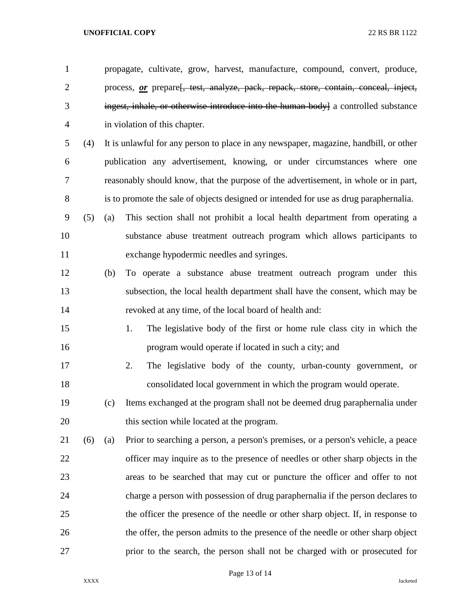| $\mathbf{1}$   |     |     | propagate, cultivate, grow, harvest, manufacture, compound, convert, produce,         |
|----------------|-----|-----|---------------------------------------------------------------------------------------|
| $\mathbf{2}$   |     |     | process, or prepare[, test, analyze, pack, repack, store, contain, conceal, inject,   |
| 3              |     |     | ingest, inhale, or otherwise introduce into the human body] a controlled substance    |
| $\overline{4}$ |     |     | in violation of this chapter.                                                         |
| 5              | (4) |     | It is unlawful for any person to place in any newspaper, magazine, handbill, or other |
| 6              |     |     | publication any advertisement, knowing, or under circumstances where one              |
| 7              |     |     | reasonably should know, that the purpose of the advertisement, in whole or in part,   |
| $8\,$          |     |     | is to promote the sale of objects designed or intended for use as drug paraphernalia. |
| 9              | (5) | (a) | This section shall not prohibit a local health department from operating a            |
| 10             |     |     | substance abuse treatment outreach program which allows participants to               |
| 11             |     |     | exchange hypodermic needles and syringes.                                             |
| 12             |     | (b) | To operate a substance abuse treatment outreach program under this                    |
| 13             |     |     | subsection, the local health department shall have the consent, which may be          |
| 14             |     |     | revoked at any time, of the local board of health and:                                |
| 15             |     |     | The legislative body of the first or home rule class city in which the<br>1.          |
| 16             |     |     | program would operate if located in such a city; and                                  |
| 17             |     |     | The legislative body of the county, urban-county government, or<br>2.                 |
| 18             |     |     | consolidated local government in which the program would operate.                     |
| 19             |     | (c) | Items exchanged at the program shall not be deemed drug paraphernalia under           |
| 20             |     |     | this section while located at the program.                                            |
| 21             | (6) | (a) | Prior to searching a person, a person's premises, or a person's vehicle, a peace      |
| 22             |     |     | officer may inquire as to the presence of needles or other sharp objects in the       |
| 23             |     |     | areas to be searched that may cut or puncture the officer and offer to not            |
| 24             |     |     | charge a person with possession of drug paraphernalia if the person declares to       |
| 25             |     |     | the officer the presence of the needle or other sharp object. If, in response to      |
| 26             |     |     | the offer, the person admits to the presence of the needle or other sharp object      |
| 27             |     |     | prior to the search, the person shall not be charged with or prosecuted for           |

Page 13 of 14